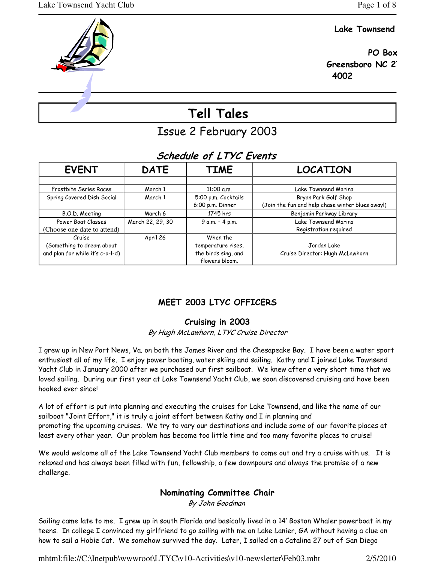## Lake Townsend

 PO Box Greensboro NC 2 4002

# Tell Tales

Issue 2 February 2003

# Schedule of LTYC Events

| <b>EVENT</b>                     | <b>DATE</b>      | <b>TIME</b>         | <b>LOCATION</b>                                  |
|----------------------------------|------------------|---------------------|--------------------------------------------------|
|                                  |                  |                     |                                                  |
| Frostbite Series Races           | March 1          | $11:00$ a.m.        | Lake Townsend Marina                             |
| Spring Covered Dish Social       | March 1          | 5:00 p.m. Cocktails | Bryan Park Golf Shop                             |
|                                  |                  | 6:00 p.m. Dinner    | (Join the fun and help chase winter blues away!) |
| B.O.D. Meeting                   | March 6          | 1745 hrs            | Benjamin Parkway Library                         |
| Power Boat Classes               | March 22, 29, 30 | 9 a.m. - 4 p.m.     | Lake Townsend Marina                             |
| (Choose one date to attend)      |                  |                     | Registration required                            |
| Cruise                           | April 26         | When the            |                                                  |
| (Something to dream about        |                  | temperature rises,  | Jordan Lake                                      |
| and plan for while it's c-o-l-d) |                  | the birds sing, and | Cruise Director: Hugh McLawhorn                  |
|                                  |                  | flowers bloom.      |                                                  |

# MEET 2003 LTYC OFFICERS

## Cruising in 2003

By Hugh McLawhorn, LTYC Cruise Director

I grew up in New Port News, Va. on both the James River and the Chesapeake Bay. I have been a water sport enthusiast all of my life. I enjoy power boating, water skiing and sailing. Kathy and I joined Lake Townsend Yacht Club in January 2000 after we purchased our first sailboat. We knew after a very short time that we loved sailing. During our first year at Lake Townsend Yacht Club, we soon discovered cruising and have been hooked ever since!

A lot of effort is put into planning and executing the cruises for Lake Townsend, and like the name of our sailboat "Joint Effort," it is truly a joint effort between Kathy and I in planning and promoting the upcoming cruises. We try to vary our destinations and include some of our favorite places at least every other year. Our problem has become too little time and too many favorite places to cruise!

We would welcome all of the Lake Townsend Yacht Club members to come out and try a cruise with us. It is relaxed and has always been filled with fun, fellowship, a few downpours and always the promise of a new challenge.

## Nominating Committee Chair

By John Goodman

Sailing came late to me. I grew up in south Florida and basically lived in a 14' Boston Whaler powerboat in my teens. In college I convinced my girlfriend to go sailing with me on Lake Lanier, GA without having a clue on how to sail a Hobie Cat. We somehow survived the day. Later, I sailed on a Catalina 27 out of San Diego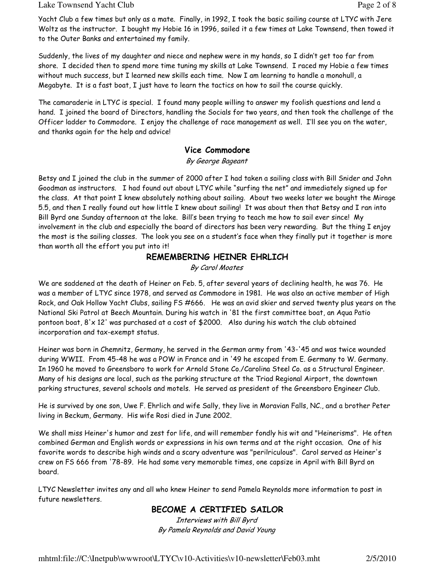#### Lake Townsend Yacht Club **Page 2 of 8** and 2 of 8

Yacht Club a few times but only as a mate. Finally, in 1992, I took the basic sailing course at LTYC with Jere Woltz as the instructor. I bought my Hobie 16 in 1996, sailed it a few times at Lake Townsend, then towed it to the Outer Banks and entertained my family.

Suddenly, the lives of my daughter and niece and nephew were in my hands, so I didn't get too far from shore. I decided then to spend more time tuning my skills at Lake Townsend. I raced my Hobie a few times without much success, but I learned new skills each time. Now I am learning to handle a monohull, a Megabyte. It is a fast boat, I just have to learn the tactics on how to sail the course quickly.

The camaraderie in LTYC is special. I found many people willing to answer my foolish questions and lend a hand. I joined the board of Directors, handling the Socials for two years, and then took the challenge of the Officer ladder to Commodore. I enjoy the challenge of race management as well. I'll see you on the water, and thanks again for the help and advice!

#### Vice Commodore

By George Bageant

Betsy and I joined the club in the summer of 2000 after I had taken a sailing class with Bill Snider and John Goodman as instructors. I had found out about LTYC while "surfing the net" and immediately signed up for the class. At that point I knew absolutely nothing about sailing. About two weeks later we bought the Mirage 5.5, and then I really found out how little I knew about sailing! It was about then that Betsy and I ran into Bill Byrd one Sunday afternoon at the lake. Bill's been trying to teach me how to sail ever since! My involvement in the club and especially the board of directors has been very rewarding. But the thing I enjoy the most is the sailing classes. The look you see on a student's face when they finally put it together is more than worth all the effort you put into it!

#### REMEMBERING HEINER EHRLICH

By Carol Moates

We are saddened at the death of Heiner on Feb. 5, after several years of declining health, he was 76. He was a member of LTYC since 1978, and served as Commodore in 1981. He was also an active member of High Rock, and Oak Hollow Yacht Clubs, sailing FS #666. He was an avid skier and served twenty plus years on the National Ski Patrol at Beech Mountain. During his watch in '81 the first committee boat, an Aqua Patio pontoon boat, 8'x 12' was purchased at a cost of \$2000. Also during his watch the club obtained incorporation and tax-exempt status.

Heiner was born in Chemnitz, Germany, he served in the German army from '43-'45 and was twice wounded during WWII. From 45-48 he was a POW in France and in '49 he escaped from E. Germany to W. Germany. In 1960 he moved to Greensboro to work for Arnold Stone Co./Carolina Steel Co. as a Structural Engineer. Many of his designs are local, such as the parking structure at the Triad Regional Airport, the downtown parking structures, several schools and motels. He served as president of the Greensboro Engineer Club.

He is survived by one son, Uwe F. Ehrlich and wife Sally, they live in Moravian Falls, NC., and a brother Peter living in Beckum, Germany. His wife Rosi died in June 2002.

We shall miss Heiner's humor and zest for life, and will remember fondly his wit and "Heinerisms". He often combined German and English words or expressions in his own terms and at the right occasion. One of his favorite words to describe high winds and a scary adventure was "perilriculous". Carol served as Heiner's crew on FS 666 from '78-89. He had some very memorable times, one capsize in April with Bill Byrd on board.

LTYC Newsletter invites any and all who knew Heiner to send Pamela Reynolds more information to post in future newsletters.

#### BECOME A CERTIFIED SAILOR

Interviews with Bill Byrd By Pamela Reynolds and David Young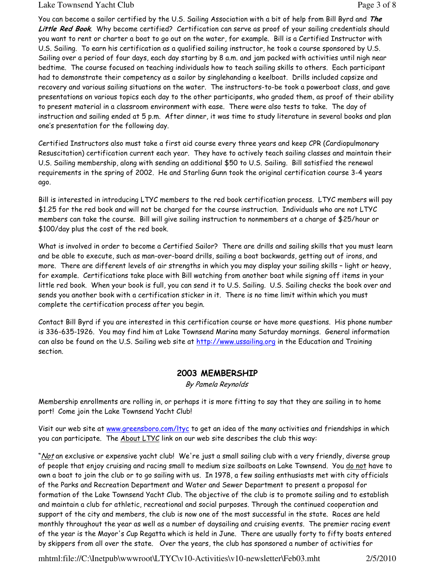#### Lake Townsend Yacht Club **Page 3 of 8** and 2 of 8

You can become a sailor certified by the U.S. Sailing Association with a bit of help from Bill Byrd and The Little Red Book. Why become certified? Certification can serve as proof of your sailing credentials should you want to rent or charter a boat to go out on the water, for example. Bill is a Certified Instructor with U.S. Sailing. To earn his certification as a qualified sailing instructor, he took a course sponsored by U.S. Sailing over a period of four days, each day starting by 8 a.m. and jam packed with activities until nigh near bedtime. The course focused on teaching individuals how to teach sailing skills to others. Each participant had to demonstrate their competency as a sailor by singlehanding a keelboat. Drills included capsize and recovery and various sailing situations on the water. The instructors-to-be took a powerboat class, and gave presentations on various topics each day to the other participants, who graded them, as proof of their ability to present material in a classroom environment with ease. There were also tests to take. The day of instruction and sailing ended at 5 p.m. After dinner, it was time to study literature in several books and plan one's presentation for the following day.

Certified Instructors also must take a first aid course every three years and keep CPR (Cardiopulmonary Resuscitation) certification current each year. They have to actively teach sailing classes and maintain their U.S. Sailing membership, along with sending an additional \$50 to U.S. Sailing. Bill satisfied the renewal requirements in the spring of 2002. He and Starling Gunn took the original certification course 3-4 years ago.

Bill is interested in introducing LTYC members to the red book certification process. LTYC members will pay \$1.25 for the red book and will not be charged for the course instruction. Individuals who are not LTYC members can take the course. Bill will give sailing instruction to nonmembers at a charge of \$25/hour or \$100/day plus the cost of the red book.

What is involved in order to become a Certified Sailor? There are drills and sailing skills that you must learn and be able to execute, such as man-over-board drills, sailing a boat backwards, getting out of irons, and more. There are different levels of air strengths in which you may display your sailing skills – light or heavy, for example. Certifications take place with Bill watching from another boat while signing off items in your little red book. When your book is full, you can send it to U.S. Sailing. U.S. Sailing checks the book over and sends you another book with a certification sticker in it. There is no time limit within which you must complete the certification process after you begin.

Contact Bill Byrd if you are interested in this certification course or have more questions. His phone number is 336-635-1926. You may find him at Lake Townsend Marina many Saturday mornings. General information can also be found on the U.S. Sailing web site at http://www.ussailing.org in the Education and Training section.

#### 2003 MEMBERSHIP

By Pamela Reynolds

Membership enrollments are rolling in, or perhaps it is more fitting to say that they are sailing in to home port! Come join the Lake Townsend Yacht Club!

Visit our web site at www.greensboro.com/ltyc to get an idea of the many activities and friendships in which you can participate. The About LTYC link on our web site describes the club this way:

"<u>Not</u> an exclusive or expensive yacht club! We're just a small sailing club with a very friendly, diverse group of people that enjoy cruising and racing small to medium size sailboats on Lake Townsend. You do not have to own a boat to join the club or to go sailing with us. In 1978, a few sailing enthusiasts met with city officials of the Parks and Recreation Department and Water and Sewer Department to present a proposal for formation of the Lake Townsend Yacht Club. The objective of the club is to promote sailing and to establish and maintain a club for athletic, recreational and social purposes. Through the continued cooperation and support of the city and members, the club is now one of the most successful in the state. Races are held monthly throughout the year as well as a number of daysailing and cruising events. The premier racing event of the year is the Mayor's Cup Regatta which is held in June. There are usually forty to fifty boats entered by skippers from all over the state. Over the years, the club has sponsored a number of activities for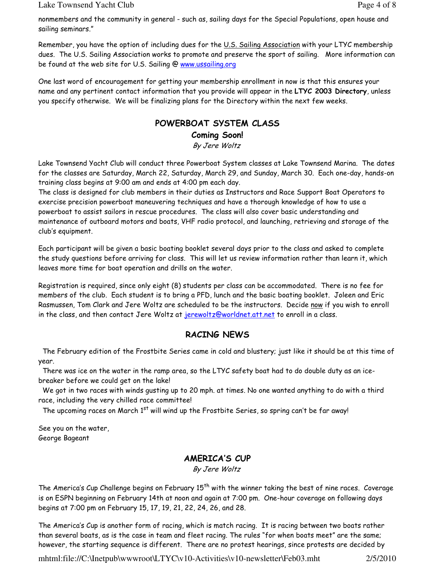Lake Townsend Yacht Club **Page 4 of 8** 

nonmembers and the community in general - such as, sailing days for the Special Populations, open house and sailing seminars."

Remember, you have the option of including dues for the U.S. Sailing Association with your LTYC membership dues. The U.S. Sailing Association works to promote and preserve the sport of sailing. More information can be found at the web site for U.S. Sailing @ www.ussailing.org

One last word of encouragement for getting your membership enrollment in now is that this ensures your name and any pertinent contact information that you provide will appear in the LTYC 2003 Directory, unless you specify otherwise. We will be finalizing plans for the Directory within the next few weeks.

# POWERBOAT SYSTEM CLASS

Coming Soon!

By Jere Woltz

Lake Townsend Yacht Club will conduct three Powerboat System classes at Lake Townsend Marina. The dates for the classes are Saturday, March 22, Saturday, March 29, and Sunday, March 30. Each one-day, hands-on training class begins at 9:00 am and ends at 4:00 pm each day.

The class is designed for club members in their duties as Instructors and Race Support Boat Operators to exercise precision powerboat maneuvering techniques and have a thorough knowledge of how to use a powerboat to assist sailors in rescue procedures. The class will also cover basic understanding and maintenance of outboard motors and boats, VHF radio protocol, and launching, retrieving and storage of the club's equipment.

Each participant will be given a basic boating booklet several days prior to the class and asked to complete the study questions before arriving for class. This will let us review information rather than learn it, which leaves more time for boat operation and drills on the water.

Registration is required, since only eight (8) students per class can be accommodated. There is no fee for members of the club. Each student is to bring a PFD, lunch and the basic boating booklet. Joleen and Eric Rasmussen, Tom Clark and Jere Woltz are scheduled to be the instructors. Decide now if you wish to enroll in the class, and then contact Jere Woltz at jerewoltz@worldnet.att.net to enroll in a class.

## RACING NEWS

 The February edition of the Frostbite Series came in cold and blustery; just like it should be at this time of year.

 There was ice on the water in the ramp area, so the LTYC safety boat had to do double duty as an icebreaker before we could get on the lake!

 We got in two races with winds gusting up to 20 mph. at times. No one wanted anything to do with a third race, including the very chilled race committee!

The upcoming races on March 1<sup>st</sup> will wind up the Frostbite Series, so spring can't be far away!

See you on the water, George Bageant

## AMERICA'S CUP

By Jere Woltz

The America's Cup Challenge begins on February 15<sup>th</sup> with the winner taking the best of nine races. Coverage is on ESPN beginning on February 14th at noon and again at 7:00 pm. One-hour coverage on following days begins at 7:00 pm on February 15, 17, 19, 21, 22, 24, 26, and 28.

The America's Cup is another form of racing, which is match racing. It is racing between two boats rather than several boats, as is the case in team and fleet racing. The rules "for when boats meet" are the same; however, the starting sequence is different. There are no protest hearings, since protests are decided by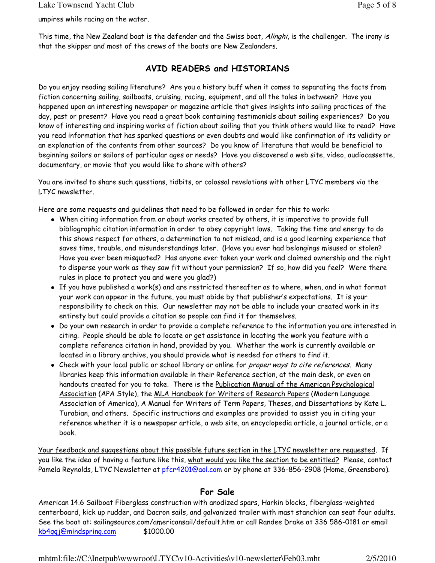umpires while racing on the water.

This time, the New Zealand boat is the defender and the Swiss boat, Alinghi, is the challenger. The irony is that the skipper and most of the crews of the boats are New Zealanders.

#### AVID READERS and HISTORIANS

Do you enjoy reading sailing literature? Are you a history buff when it comes to separating the facts from fiction concerning sailing, sailboats, cruising, racing, equipment, and all the tales in between? Have you happened upon an interesting newspaper or magazine article that gives insights into sailing practices of the day, past or present? Have you read a great book containing testimonials about sailing experiences? Do you know of interesting and inspiring works of fiction about sailing that you think others would like to read? Have you read information that has sparked questions or even doubts and would like confirmation of its validity or an explanation of the contents from other sources? Do you know of literature that would be beneficial to beginning sailors or sailors of particular ages or needs? Have you discovered a web site, video, audiocassette, documentary, or movie that you would like to share with others?

You are invited to share such questions, tidbits, or colossal revelations with other LTYC members via the LTYC newsletter.

Here are some requests and guidelines that need to be followed in order for this to work:

- When citing information from or about works created by others, it is imperative to provide full bibliographic citation information in order to obey copyright laws. Taking the time and energy to do this shows respect for others, a determination to not mislead, and is a good learning experience that saves time, trouble, and misunderstandings later. (Have you ever had belongings misused or stolen? Have you ever been misquoted? Has anyone ever taken your work and claimed ownership and the right to disperse your work as they saw fit without your permission? If so, how did you feel? Were there rules in place to protect you and were you glad?)
- If you have published a work(s) and are restricted thereafter as to where, when, and in what format your work can appear in the future, you must abide by that publisher's expectations. It is your responsibility to check on this. Our newsletter may not be able to include your created work in its entirety but could provide a citation so people can find it for themselves.
- Do your own research in order to provide a complete reference to the information you are interested in citing. People should be able to locate or get assistance in locating the work you feature with a complete reference citation in hand, provided by you. Whether the work is currently available or located in a library archive, you should provide what is needed for others to find it.
- Check with your local public or school library or online for *proper ways to cite references*. Many libraries keep this information available in their Reference section, at the main desk, or even on handouts created for you to take. There is the Publication Manual of the American Psychological Association (APA Style), the MLA Handbook for Writers of Research Papers (Modern Language Association of America), A Manual for Writers of Term Papers, Theses, and Dissertations by Kate L. Turabian, and others. Specific instructions and examples are provided to assist you in citing your reference whether it is a newspaper article, a web site, an encyclopedia article, a journal article, or a book.

Your feedback and suggestions about this possible future section in the LTYC newsletter are requested. If you like the idea of having a feature like this, what would you like the section to be entitled? Please, contact Pamela Reynolds, LTYC Newsletter at pfcr4201@aol.com or by phone at 336-856-2908 (Home, Greensboro).

#### For Sale

American 14.6 Sailboat Fiberglass construction with anodized spars, Harkin blocks, fiberglass-weighted centerboard, kick up rudder, and Dacron sails, and galvanized trailer with mast stanchion can seat four adults. See the boat at: sailingsource.com/americansail/default.htm or call Randee Drake at 336 586-0181 or email kb4qqj@mindspring.com \$1000.00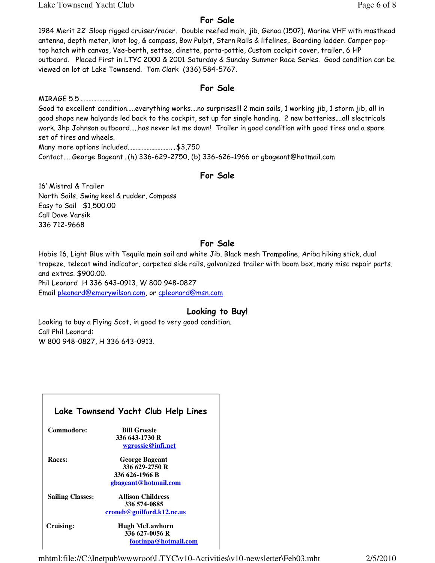Lake Townsend Yacht Club Page 6 of 8

#### For Sale

1984 Merit 22' Sloop rigged cruiser/racer. Double reefed main, jib, Genoa (150?), Marine VHF with masthead antenna, depth meter, knot log, & compass, Bow Pulpit, Stern Rails & lifelines,. Boarding ladder. Camper poptop hatch with canvas, Vee-berth, settee, dinette, porta-pottie, Custom cockpit cover, trailer, 6 HP outboard. Placed First in LTYC 2000 & 2001 Saturday & Sunday Summer Race Series. Good condition can be viewed on lot at Lake Townsend. Tom Clark (336) 584-5767.

#### For Sale

MIRAGE 5.5…………………….. Good to excellent condition…..everything works….no surprises!!! 2 main sails, 1 working jib, 1 storm jib, all in good shape new halyards led back to the cockpit, set up for single handing. 2 new batteries….all electricals work. 3hp Johnson outboard…..has never let me down! Trailer in good condition with good tires and a spare set of tires and wheels. Many more options included………………………..\$3,750 Contact…. George Bageant…(h) 336-629-2750, (b) 336-626-1966 or gbageant@hotmail.com

#### For Sale

16' Mistral & Trailer North Sails, Swing keel & rudder, Compass Easy to Sail \$1,500.00 Call Dave Varsik 336 712-9668

#### For Sale

Hobie 16, Light Blue with Tequila main sail and white Jib. Black mesh Trampoline, Ariba hiking stick, dual trapeze, telecat wind indicator, carpeted side rails, galvanized trailer with boom box, many misc repair parts, and extras. \$900.00. Phil Leonard H 336 643-0913, W 800 948-0827

Email pleonard@emorywilson.com, or cpleonard@msn.com

## Looking to Buy!

Looking to buy a Flying Scot, in good to very good condition. Call Phil Leonard: W 800 948-0827, H 336 643-0913.

| Lake Townsend Yacht Club Help Lines |                           |  |  |  |  |
|-------------------------------------|---------------------------|--|--|--|--|
| Commodore:                          | <b>Bill Grossie</b>       |  |  |  |  |
|                                     | 336 643-1730 R            |  |  |  |  |
|                                     | wgrossie@infi.net         |  |  |  |  |
| <b>Races:</b>                       | <b>George Bageant</b>     |  |  |  |  |
|                                     | 336 629-2750 R            |  |  |  |  |
|                                     | 336 626-1966 B            |  |  |  |  |
|                                     | gbageant@hotmail.com      |  |  |  |  |
| <b>Sailing Classes:</b>             | <b>Allison Childress</b>  |  |  |  |  |
|                                     | 336 574-0885              |  |  |  |  |
|                                     | croneb@guilford.k12.nc.us |  |  |  |  |
| Cruising:                           | <b>Hugh McLawhorn</b>     |  |  |  |  |
|                                     | 336 627-0056 R            |  |  |  |  |
|                                     | footinpa@hotmail.com      |  |  |  |  |
|                                     |                           |  |  |  |  |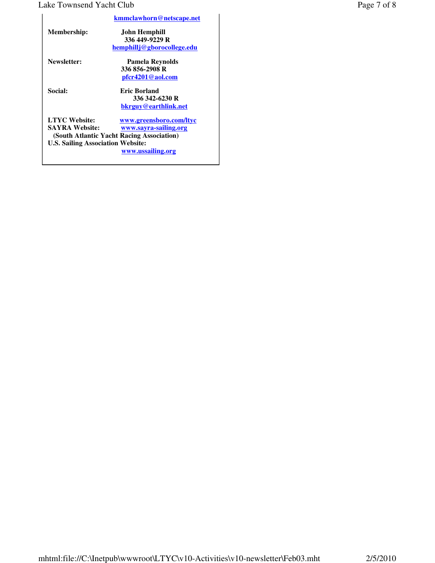#### Lake Townsend Yacht Club Page 7 of 8

|                                          | kmmclawhorn@netscape.net                  |
|------------------------------------------|-------------------------------------------|
| <b>Membership:</b>                       | John Hemphill                             |
|                                          | 336 449-9229 R                            |
|                                          | hemphillj@gborocollege.edu                |
| Newsletter:                              | Pamela Reynolds                           |
|                                          | 336 856-2908 R                            |
|                                          | pfcr4201@aol.com                          |
| <b>Social:</b>                           | Eric Borland                              |
|                                          | 336 342-6230 R                            |
|                                          | bkrguy@earthlink.net                      |
| <b>LTYC Website:</b>                     | www.greensboro.com/ltyc                   |
| <b>SAYRA Website:</b>                    | www.sayra-sailing.org                     |
|                                          | (South Atlantic Yacht Racing Association) |
| <b>U.S. Sailing Association Website:</b> |                                           |
|                                          | www.ussailing.org                         |